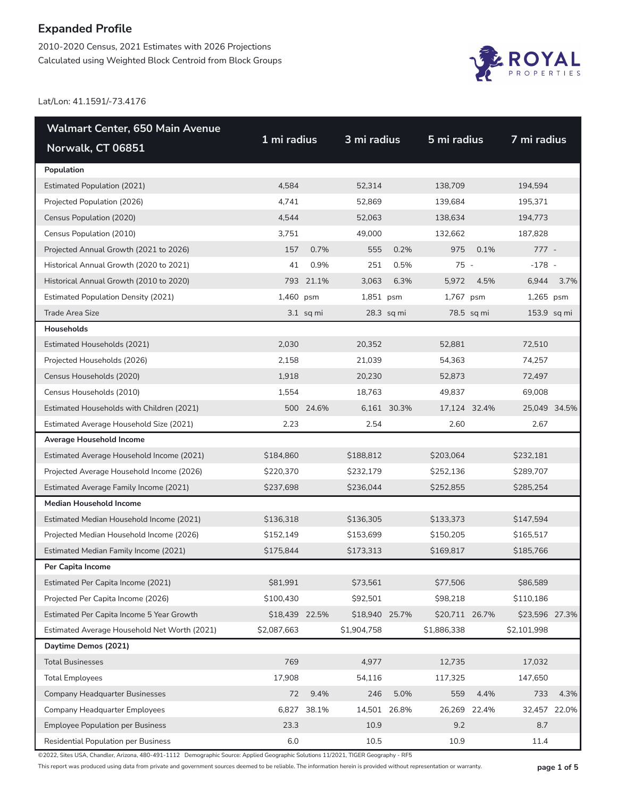2010-2020 Census, 2021 Estimates with 2026 Projections Calculated using Weighted Block Centroid from Block Groups



Lat/Lon: 41.1591/-73.4176

| <b>Walmart Center, 650 Main Avenue</b>       |                |             |                |             |                |            |                |      |
|----------------------------------------------|----------------|-------------|----------------|-------------|----------------|------------|----------------|------|
| Norwalk, CT 06851                            | 1 mi radius    |             | 3 mi radius    |             | 5 mi radius    |            | 7 mi radius    |      |
| Population                                   |                |             |                |             |                |            |                |      |
| <b>Estimated Population (2021)</b>           | 4,584          |             | 52,314         |             | 138,709        |            | 194,594        |      |
| Projected Population (2026)                  | 4,741          |             | 52,869         |             | 139,684        |            | 195,371        |      |
| Census Population (2020)                     | 4,544          |             | 52,063         |             | 138,634        |            | 194,773        |      |
| Census Population (2010)                     | 3,751          |             | 49,000         |             | 132,662        |            | 187,828        |      |
| Projected Annual Growth (2021 to 2026)       | 157            | 0.7%        | 555            | 0.2%        | 975            | 0.1%       | $777 -$        |      |
| Historical Annual Growth (2020 to 2021)      | 41             | 0.9%        | 251            | 0.5%        | 75 -           |            | $-178 -$       |      |
| Historical Annual Growth (2010 to 2020)      |                | 793 21.1%   | 3,063          | 6.3%        | 5,972          | 4.5%       | 6,944          | 3.7% |
| <b>Estimated Population Density (2021)</b>   | 1,460 psm      |             | 1,851 psm      |             | 1,767 psm      |            | 1,265 psm      |      |
| <b>Trade Area Size</b>                       |                | $3.1$ sq mi |                | 28.3 sq mi  |                | 78.5 sq mi | 153.9 sq mi    |      |
| Households                                   |                |             |                |             |                |            |                |      |
| Estimated Households (2021)                  | 2,030          |             | 20,352         |             | 52,881         |            | 72,510         |      |
| Projected Households (2026)                  | 2,158          |             | 21,039         |             | 54,363         |            | 74,257         |      |
| Census Households (2020)                     | 1,918          |             | 20,230         |             | 52,873         |            | 72,497         |      |
| Census Households (2010)                     | 1,554          |             | 18,763         |             | 49,837         |            | 69,008         |      |
| Estimated Households with Children (2021)    |                | 500 24.6%   |                | 6,161 30.3% | 17,124 32.4%   |            | 25,049 34.5%   |      |
| Estimated Average Household Size (2021)      | 2.23           |             | 2.54           |             | 2.60           |            | 2.67           |      |
| Average Household Income                     |                |             |                |             |                |            |                |      |
| Estimated Average Household Income (2021)    | \$184,860      |             | \$188,812      |             | \$203,064      |            | \$232,181      |      |
| Projected Average Household Income (2026)    | \$220,370      |             | \$232,179      |             | \$252,136      |            | \$289,707      |      |
| Estimated Average Family Income (2021)       | \$237,698      |             | \$236,044      |             | \$252,855      |            | \$285,254      |      |
| <b>Median Household Income</b>               |                |             |                |             |                |            |                |      |
| Estimated Median Household Income (2021)     | \$136,318      |             | \$136,305      |             | \$133,373      |            | \$147,594      |      |
| Projected Median Household Income (2026)     | \$152,149      |             | \$153,699      |             | \$150,205      |            | \$165,517      |      |
| Estimated Median Family Income (2021)        | \$175,844      |             | \$173,313      |             | \$169,817      |            | \$185,766      |      |
| Per Capita Income                            |                |             |                |             |                |            |                |      |
| Estimated Per Capita Income (2021)           | \$81,991       |             | \$73,561       |             | \$77,506       |            | \$86,589       |      |
| Projected Per Capita Income (2026)           | \$100,430      |             | \$92,501       |             | \$98,218       |            | \$110,186      |      |
| Estimated Per Capita Income 5 Year Growth    | \$18,439 22.5% |             | \$18,940 25.7% |             | \$20,711 26.7% |            | \$23,596 27.3% |      |
| Estimated Average Household Net Worth (2021) | \$2,087,663    |             | \$1,904,758    |             | \$1,886,338    |            | \$2,101,998    |      |
| Daytime Demos (2021)                         |                |             |                |             |                |            |                |      |
| <b>Total Businesses</b>                      | 769            |             | 4,977          |             | 12,735         |            | 17,032         |      |
| <b>Total Employees</b>                       | 17,908         |             | 54,116         |             | 117,325        |            | 147,650        |      |
| <b>Company Headquarter Businesses</b>        | 72             | 9.4%        | 246            | 5.0%        | 559            | 4.4%       | 733            | 4.3% |
| <b>Company Headquarter Employees</b>         | 6,827          | 38.1%       | 14,501 26.8%   |             | 26,269         | 22.4%      | 32,457 22.0%   |      |
| <b>Employee Population per Business</b>      | 23.3           |             | 10.9           |             | 9.2            |            | 8.7            |      |
| Residential Population per Business          | 6.0            |             | 10.5           |             | 10.9           |            | 11.4           |      |

©2022, Sites USA, Chandler, Arizona, 480-491-1112 Demographic Source: Applied Geographic Solutions 11/2021, TIGER Geography - RF5

This report was produced using data from private and government sources deemed to be reliable. The information herein is provided without representation or warranty. **page 1 of 5**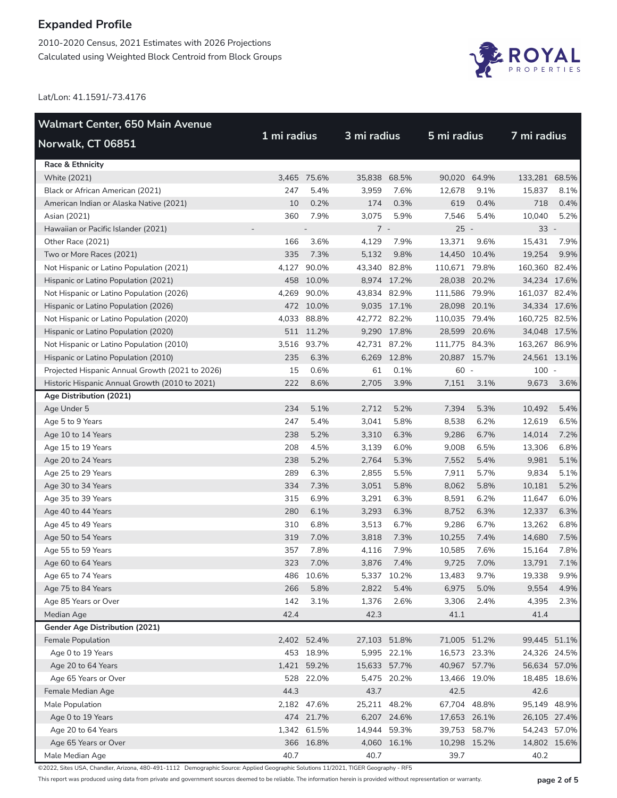2010-2020 Census, 2021 Estimates with 2026 Projections Calculated using Weighted Block Centroid from Block Groups



Lat/Lon: 41.1591/-73.4176

| <b>Walmart Center, 650 Main Avenue</b>          |             |             |              |             |               |             |               | 7 mi radius  |  |  |
|-------------------------------------------------|-------------|-------------|--------------|-------------|---------------|-------------|---------------|--------------|--|--|
| Norwalk, CT 06851                               | 1 mi radius |             |              | 3 mi radius |               | 5 mi radius |               |              |  |  |
| Race & Ethnicity                                |             |             |              |             |               |             |               |              |  |  |
| <b>White (2021)</b>                             |             | 3,465 75.6% | 35,838       | 68.5%       | 90,020 64.9%  |             | 133,281 68.5% |              |  |  |
| Black or African American (2021)                | 247         | 5.4%        | 3,959        | 7.6%        | 12,678        | 9.1%        | 15,837        | 8.1%         |  |  |
| American Indian or Alaska Native (2021)         | 10          | 0.2%        | 174          | 0.3%        | 619           | 0.4%        | 718           | 0.4%         |  |  |
| Asian (2021)                                    | 360         | 7.9%        | 3,075        | 5.9%        | 7,546         | 5.4%        | 10,040        | 5.2%         |  |  |
| Hawaiian or Pacific Islander (2021)             |             |             | $7 -$        |             | $25 -$        |             | $33 -$        |              |  |  |
| Other Race (2021)                               | 166         | 3.6%        | 4,129        | 7.9%        | 13,371        | 9.6%        | 15,431        | 7.9%         |  |  |
| Two or More Races (2021)                        | 335         | 7.3%        | 5,132        | 9.8%        | 14,450 10.4%  |             | 19,254        | 9.9%         |  |  |
| Not Hispanic or Latino Population (2021)        |             | 4,127 90.0% | 43,340 82.8% |             | 110,671 79.8% |             | 160,360 82.4% |              |  |  |
| Hispanic or Latino Population (2021)            |             | 458 10.0%   |              | 8,974 17.2% | 28,038 20.2%  |             | 34,234 17.6%  |              |  |  |
| Not Hispanic or Latino Population (2026)        | 4,269       | 90.0%       | 43,834 82.9% |             | 111,586 79.9% |             | 161,037 82.4% |              |  |  |
| Hispanic or Latino Population (2026)            |             | 472 10.0%   |              | 9,035 17.1% | 28,098 20.1%  |             | 34,334 17.6%  |              |  |  |
| Not Hispanic or Latino Population (2020)        |             | 4,033 88.8% | 42,772 82.2% |             | 110,035 79.4% |             | 160,725 82.5% |              |  |  |
| Hispanic or Latino Population (2020)            |             | 511 11.2%   |              | 9,290 17.8% | 28,599 20.6%  |             | 34,048 17.5%  |              |  |  |
| Not Hispanic or Latino Population (2010)        |             | 3,516 93.7% | 42,731 87.2% |             | 111,775 84.3% |             | 163,267 86.9% |              |  |  |
| Hispanic or Latino Population (2010)            | 235         | 6.3%        |              | 6,269 12.8% | 20,887 15.7%  |             | 24,561 13.1%  |              |  |  |
| Projected Hispanic Annual Growth (2021 to 2026) | 15          | 0.6%        | 61           | 0.1%        | 60 -          |             | $100 -$       |              |  |  |
| Historic Hispanic Annual Growth (2010 to 2021)  | 222         | 8.6%        | 2,705        | 3.9%        | 7,151         | 3.1%        | 9,673         | 3.6%         |  |  |
| Age Distribution (2021)                         |             |             |              |             |               |             |               |              |  |  |
| Age Under 5                                     | 234         | 5.1%        | 2,712        | 5.2%        | 7,394         | 5.3%        | 10,492        | 5.4%         |  |  |
| Age 5 to 9 Years                                | 247         | 5.4%        | 3,041        | 5.8%        | 8,538         | 6.2%        | 12,619        | 6.5%         |  |  |
| Age 10 to 14 Years                              | 238         | 5.2%        | 3,310        | 6.3%        | 9,286         | 6.7%        | 14,014        | 7.2%         |  |  |
| Age 15 to 19 Years                              | 208         | 4.5%        | 3,139        | 6.0%        | 9,008         | 6.5%        | 13,306        | 6.8%         |  |  |
| Age 20 to 24 Years                              | 238         | 5.2%        | 2,764        | 5.3%        | 7,552         | 5.4%        | 9,981         | 5.1%         |  |  |
| Age 25 to 29 Years                              | 289         | 6.3%        | 2,855        | 5.5%        | 7,911         | 5.7%        | 9,834         | 5.1%         |  |  |
| Age 30 to 34 Years                              | 334         | 7.3%        | 3,051        | 5.8%        | 8,062         | 5.8%        | 10,181        | 5.2%         |  |  |
| Age 35 to 39 Years                              | 315         | 6.9%        | 3,291        | 6.3%        | 8,591         | 6.2%        | 11,647        | 6.0%         |  |  |
| Age 40 to 44 Years                              | 280         | 6.1%        | 3,293        | 6.3%        | 8,752         | 6.3%        | 12,337        | 6.3%         |  |  |
| Age 45 to 49 Years                              | 310         | 6.8%        | 3,513        | 6.7%        | 9,286         | 6.7%        | 13,262        | 6.8%         |  |  |
| Age 50 to 54 Years                              | 319         | 7.0%        | 3,818        | 7.3%        | 10,255        | 7.4%        | 14,680        | 7.5%         |  |  |
| Age 55 to 59 Years                              | 357         | 7.8%        | 4,116        | 7.9%        | 10,585        | 7.6%        | 15,164        | 7.8%         |  |  |
| Age 60 to 64 Years                              | 323         | 7.0%        | 3,876        | 7.4%        | 9,725         | 7.0%        | 13,791        | 7.1%         |  |  |
| Age 65 to 74 Years                              |             | 486 10.6%   |              | 5,337 10.2% | 13,483        | 9.7%        | 19,338        | 9.9%         |  |  |
| Age 75 to 84 Years                              | 266         | 5.8%        | 2,822        | 5.4%        | 6,975         | 5.0%        | 9,554         | 4.9%         |  |  |
| Age 85 Years or Over                            | 142         | 3.1%        | 1,376        | 2.6%        | 3,306         | 2.4%        | 4,395         | 2.3%         |  |  |
| Median Age                                      | 42.4        |             | 42.3         |             | 41.1          |             | 41.4          |              |  |  |
| Gender Age Distribution (2021)                  |             |             |              |             |               |             |               |              |  |  |
| Female Population                               |             | 2,402 52.4% | 27,103 51.8% |             | 71,005 51.2%  |             | 99,445 51.1%  |              |  |  |
| Age 0 to 19 Years                               |             | 453 18.9%   |              | 5,995 22.1% | 16,573 23.3%  |             |               | 24,326 24.5% |  |  |
| Age 20 to 64 Years                              |             | 1,421 59.2% | 15,633 57.7% |             | 40,967 57.7%  |             |               | 56,634 57.0% |  |  |
| Age 65 Years or Over                            |             | 528 22.0%   |              | 5,475 20.2% | 13,466 19.0%  |             | 18,485 18.6%  |              |  |  |
| Female Median Age                               | 44.3        |             | 43.7         |             | 42.5          |             | 42.6          |              |  |  |
| Male Population                                 |             | 2,182 47.6% | 25,211 48.2% |             | 67,704 48.8%  |             | 95,149 48.9%  |              |  |  |
| Age 0 to 19 Years                               |             | 474 21.7%   |              | 6,207 24.6% | 17,653 26.1%  |             | 26,105 27.4%  |              |  |  |
| Age 20 to 64 Years                              |             | 1,342 61.5% | 14,944 59.3% |             | 39,753 58.7%  |             | 54,243 57.0%  |              |  |  |
| Age 65 Years or Over                            |             | 366 16.8%   |              | 4,060 16.1% | 10,298 15.2%  |             | 14,802 15.6%  |              |  |  |
| Male Median Age                                 | 40.7        |             | 40.7         |             | 39.7          |             | 40.2          |              |  |  |

©2022, Sites USA, Chandler, Arizona, 480-491-1112 Demographic Source: Applied Geographic Solutions 11/2021, TIGER Geography - RF5

This report was produced using data from private and government sources deemed to be reliable. The information herein is provided without representation or warranty. **page 2 of 5**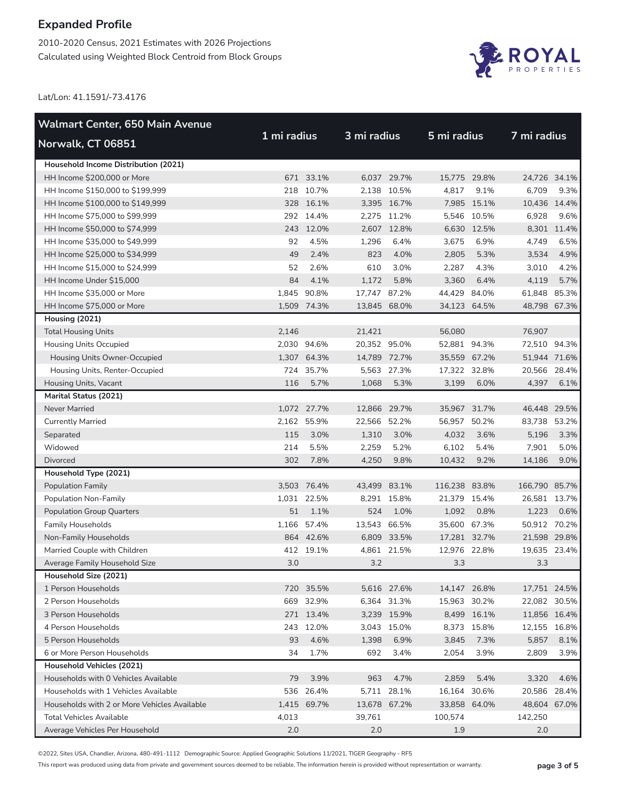2010-2020 Census, 2021 Estimates with 2026 Projections Calculated using Weighted Block Centroid from Block Groups



Lat/Lon: 41.1591/-73.4176

| <b>Walmart Center, 650 Main Avenue</b>       |             |             |              |             |               |             |               |             |
|----------------------------------------------|-------------|-------------|--------------|-------------|---------------|-------------|---------------|-------------|
| Norwalk, CT 06851                            | 1 mi radius |             | 3 mi radius  |             | 5 mi radius   |             | 7 mi radius   |             |
| Household Income Distribution (2021)         |             |             |              |             |               |             |               |             |
| HH Income \$200,000 or More                  |             | 671 33.1%   |              | 6.037 29.7% | 15,775 29.8%  |             | 24,726 34.1%  |             |
| HH Income \$150,000 to \$199,999             |             | 218 10.7%   |              | 2,138 10.5% | 4,817         | 9.1%        | 6,709         | 9.3%        |
| HH Income \$100,000 to \$149,999             |             | 328 16.1%   |              | 3,395 16.7% |               | 7,985 15.1% | 10,436 14.4%  |             |
| HH Income \$75,000 to \$99,999               |             | 292 14.4%   |              | 2,275 11.2% |               | 5,546 10.5% | 6,928         | 9.6%        |
| HH Income \$50,000 to \$74,999               |             | 243 12.0%   |              | 2,607 12.8% |               | 6,630 12.5% |               | 8,301 11.4% |
| HH Income \$35,000 to \$49,999               | 92          | 4.5%        | 1,296        | 6.4%        | 3,675         | 6.9%        | 4,749         | 6.5%        |
| HH Income \$25,000 to \$34,999               | 49          | 2.4%        | 823          | 4.0%        | 2,805         | 5.3%        | 3,534         | 4.9%        |
| HH Income \$15,000 to \$24,999               | 52          | 2.6%        | 610          | 3.0%        | 2,287         | 4.3%        | 3,010         | 4.2%        |
| HH Income Under \$15,000                     | 84          | 4.1%        | 1,172        | 5.8%        | 3,360         | 6.4%        | 4,119         | 5.7%        |
| HH Income \$35,000 or More                   |             | 1,845 90.8% | 17,747 87.2% |             | 44,429 84.0%  |             | 61,848 85.3%  |             |
| HH Income \$75,000 or More                   |             | 1,509 74.3% | 13,845 68.0% |             | 34,123 64.5%  |             | 48,798 67.3%  |             |
| Housing (2021)                               |             |             |              |             |               |             |               |             |
| <b>Total Housing Units</b>                   | 2,146       |             | 21,421       |             | 56,080        |             | 76,907        |             |
| <b>Housing Units Occupied</b>                |             | 2,030 94.6% | 20,352 95.0% |             | 52,881 94.3%  |             | 72,510 94.3%  |             |
| Housing Units Owner-Occupied                 |             | 1,307 64.3% | 14,789 72.7% |             | 35,559 67.2%  |             | 51,944 71.6%  |             |
| Housing Units, Renter-Occupied               |             | 724 35.7%   |              | 5,563 27.3% | 17,322 32.8%  |             | 20,566 28.4%  |             |
| Housing Units, Vacant                        | 116         | 5.7%        | 1,068        | 5.3%        | 3,199         | 6.0%        | 4,397         | 6.1%        |
| Marital Status (2021)                        |             |             |              |             |               |             |               |             |
| <b>Never Married</b>                         |             | 1,072 27.7% | 12,866 29.7% |             | 35,967 31.7%  |             | 46,448 29.5%  |             |
| <b>Currently Married</b>                     |             | 2,162 55.9% | 22,566 52.2% |             | 56,957 50.2%  |             | 83,738 53.2%  |             |
| Separated                                    | 115         | 3.0%        | 1,310        | 3.0%        | 4,032         | 3.6%        | 5,196         | 3.3%        |
| Widowed                                      | 214         | 5.5%        | 2,259        | 5.2%        | 6,102         | 5.4%        | 7,901         | 5.0%        |
| Divorced                                     | 302         | 7.8%        | 4,250        | 9.8%        | 10,432        | 9.2%        | 14,186        | 9.0%        |
| Household Type (2021)                        |             |             |              |             |               |             |               |             |
| Population Family                            |             | 3,503 76.4% | 43,499 83.1% |             | 116,238 83.8% |             | 166,790 85.7% |             |
| Population Non-Family                        |             | 1,031 22.5% |              | 8,291 15.8% | 21,379 15.4%  |             | 26,581 13.7%  |             |
| <b>Population Group Quarters</b>             | 51          | 1.1%        | 524          | 1.0%        | 1,092         | 0.8%        | 1,223         | 0.6%        |
| <b>Family Households</b>                     |             | 1.166 57.4% | 13,543 66.5% |             | 35,600 67.3%  |             | 50,912 70.2%  |             |
| Non-Family Households                        |             | 864 42.6%   |              | 6,809 33.5% | 17,281 32.7%  |             | 21,598 29.8%  |             |
| Married Couple with Children                 |             | 412 19.1%   |              | 4,861 21.5% | 12,976 22.8%  |             | 19,635 23.4%  |             |
| Average Family Household Size                | 3.0         |             | 3.2          |             | 3.3           |             | 3.3           |             |
| Household Size (2021)                        |             |             |              |             |               |             |               |             |
| 1 Person Households                          |             | 720 35.5%   |              | 5,616 27.6% | 14,147 26.8%  |             | 17,751 24.5%  |             |
| 2 Person Households                          | 669         | 32.9%       |              | 6,364 31.3% | 15,963 30.2%  |             | 22,082 30.5%  |             |
| 3 Person Households                          |             | 271 13.4%   |              | 3,239 15.9% |               | 8,499 16.1% | 11,856 16.4%  |             |
| 4 Person Households                          |             | 243 12.0%   |              | 3,043 15.0% |               | 8,373 15.8% | 12,155 16.8%  |             |
| 5 Person Households                          | 93          | 4.6%        | 1,398        | 6.9%        | 3,845         | 7.3%        | 5,857         | 8.1%        |
| 6 or More Person Households                  | 34          | 1.7%        | 692          | 3.4%        | 2,054         | 3.9%        | 2,809         | 3.9%        |
| Household Vehicles (2021)                    |             |             |              |             |               |             |               |             |
| Households with 0 Vehicles Available         | 79          | 3.9%        | 963          | 4.7%        | 2,859         | 5.4%        | 3,320         | 4.6%        |
| Households with 1 Vehicles Available         | 536         | 26.4%       |              | 5,711 28.1% | 16,164        | 30.6%       | 20,586 28.4%  |             |
| Households with 2 or More Vehicles Available |             | 1,415 69.7% | 13,678 67.2% |             | 33,858 64.0%  |             | 48,604 67.0%  |             |
| <b>Total Vehicles Available</b>              | 4,013       |             | 39,761       |             | 100,574       |             | 142,250       |             |
| Average Vehicles Per Household               | 2.0         |             | 2.0          |             | 1.9           |             | 2.0           |             |

©2022, Sites USA, Chandler, Arizona, 480-491-1112 Demographic Source: Applied Geographic Solutions 11/2021, TIGER Geography - RF5

This report was produced using data from private and government sources deemed to be reliable. The information herein is provided without representation or warranty. **page 3 of 5**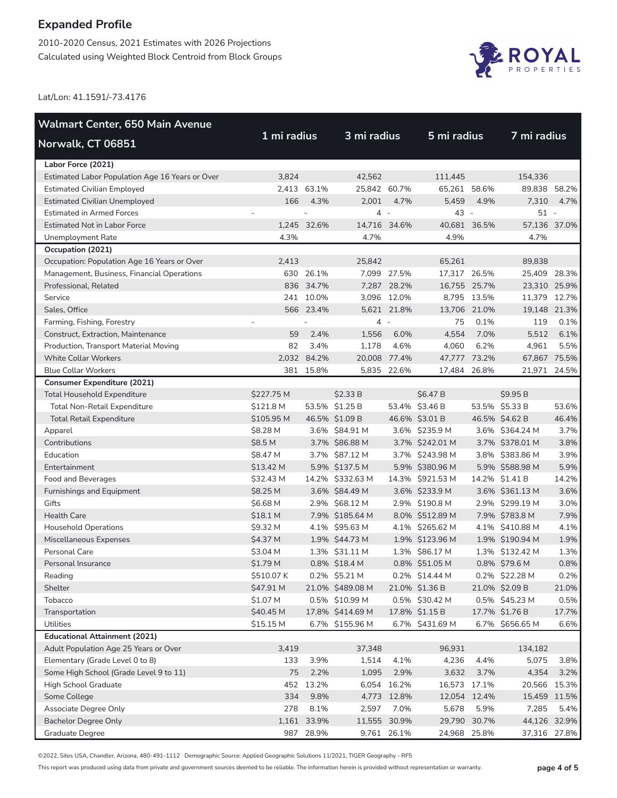2010-2020 Census, 2021 Estimates with 2026 Projections Calculated using Weighted Block Centroid from Block Groups



Lat/Lon: 41.1591/-73.4176

| <b>Walmart Center, 650 Main Avenue</b>          |             |             |                  |             |                  |              |                 |       |
|-------------------------------------------------|-------------|-------------|------------------|-------------|------------------|--------------|-----------------|-------|
| Norwalk, CT 06851                               | 1 mi radius |             | 3 mi radius      |             | 5 mi radius      |              | 7 mi radius     |       |
| Labor Force (2021)                              |             |             |                  |             |                  |              |                 |       |
| Estimated Labor Population Age 16 Years or Over | 3,824       |             | 42,562           |             | 111,445          |              | 154,336         |       |
| <b>Estimated Civilian Employed</b>              |             | 2,413 63.1% | 25,842 60.7%     |             | 65,261           | 58.6%        | 89,838 58.2%    |       |
| <b>Estimated Civilian Unemployed</b>            | 166         | 4.3%        | 2,001            | 4.7%        | 5,459            | 4.9%         | 7,310           | 4.7%  |
| <b>Estimated in Armed Forces</b>                |             |             | 4 -              |             | 43 -             |              | $51 -$          |       |
| <b>Estimated Not in Labor Force</b>             |             | 1,245 32.6% | 14,716 34.6%     |             | 40,681 36.5%     |              | 57,136 37.0%    |       |
| Unemployment Rate                               | 4.3%        |             | 4.7%             |             | 4.9%             |              | 4.7%            |       |
| Occupation (2021)                               |             |             |                  |             |                  |              |                 |       |
| Occupation: Population Age 16 Years or Over     | 2,413       |             | 25,842           |             | 65,261           |              | 89,838          |       |
| Management, Business, Financial Operations      |             | 630 26.1%   |                  | 7,099 27.5% | 17,317 26.5%     |              | 25,409 28.3%    |       |
| Professional, Related                           |             | 836 34.7%   |                  | 7,287 28.2% | 16,755 25.7%     |              | 23,310 25.9%    |       |
| Service                                         |             | 241 10.0%   |                  | 3,096 12.0% |                  | 8,795 13.5%  | 11,379 12.7%    |       |
| Sales, Office                                   |             | 566 23.4%   |                  | 5,621 21.8% | 13,706 21.0%     |              | 19,148 21.3%    |       |
| Farming, Fishing, Forestry                      |             |             | 4 -              |             | 75               | 0.1%         | 119             | 0.1%  |
| Construct, Extraction, Maintenance              | 59          | 2.4%        | 1,556            | 6.0%        | 4,554            | 7.0%         | 5,512           | 6.1%  |
| Production, Transport Material Moving           | 82          | 3.4%        | 1,178            | 4.6%        | 4,060            | 6.2%         | 4,961           | 5.5%  |
| <b>White Collar Workers</b>                     |             | 2,032 84.2% | 20,008 77.4%     |             | 47,777 73.2%     |              | 67,867 75.5%    |       |
| <b>Blue Collar Workers</b>                      |             | 381 15.8%   |                  | 5,835 22.6% | 17,484 26.8%     |              | 21,971 24.5%    |       |
| <b>Consumer Expenditure (2021)</b>              |             |             |                  |             |                  |              |                 |       |
| <b>Total Household Expenditure</b>              | \$227.75 M  |             | \$2.33 B         |             | \$6.47 B         |              | \$9.95 B        |       |
| <b>Total Non-Retail Expenditure</b>             | \$121.8 M   |             | 53.5% \$1.25 B   |             | 53.4% \$3.46 B   |              | 53.5% \$5.33 B  | 53.6% |
| <b>Total Retail Expenditure</b>                 | \$105.95 M  |             | 46.5% \$1.09 B   |             | 46.6% \$3.01 B   |              | 46.5% \$4.62 B  | 46.4% |
| Apparel                                         | \$8.28 M    |             | 3.6% \$84.91 M   |             | 3.6% \$235.9 M   |              | 3.6% \$364.24 M | 3.7%  |
| Contributions                                   | \$8.5 M     |             | 3.7% \$86.88 M   |             | 3.7% \$242.01 M  |              | 3.7% \$378.01 M | 3.8%  |
| Education                                       | \$8.47 M    |             | 3.7% \$87.12 M   |             | 3.7% \$243.98 M  |              | 3.8% \$383.86 M | 3.9%  |
| Entertainment                                   | \$13.42 M   |             | 5.9% \$137.5 M   |             | 5.9% \$380.96 M  |              | 5.9% \$588.98 M | 5.9%  |
| Food and Beverages                              | \$32.43 M   |             | 14.2% \$332.63 M |             | 14.3% \$921.53 M |              | 14.2% \$1.41 B  | 14.2% |
| Furnishings and Equipment                       | \$8.25 M    |             | 3.6% \$84.49 M   |             | 3.6% \$233.9 M   |              | 3.6% \$361.13 M | 3.6%  |
| Gifts                                           | \$6.68 M    |             | 2.9% \$68.12 M   |             | 2.9% \$190.8 M   |              | 2.9% \$299.19 M | 3.0%  |
| <b>Health Care</b>                              | \$18.1 M    |             | 7.9% \$185.64 M  |             | 8.0% \$512.89 M  |              | 7.9% \$783.8 M  | 7.9%  |
| <b>Household Operations</b>                     | \$9.32 M    |             | 4.1% \$95.63 M   |             | 4.1% \$265.62 M  |              | 4.1% \$410.88 M | 4.1%  |
| Miscellaneous Expenses                          | \$4.37 M    |             | 1.9% \$44.73 M   |             | 1.9% \$123.96 M  |              | 1.9% \$190.94 M | 1.9%  |
| Personal Care                                   | \$3.04 M    |             | 1.3% \$31.11 M   |             | 1.3% \$86.17 M   |              | 1.3% \$132.42 M | 1.3%  |
| Personal Insurance                              | \$1.79 M    |             | 0.8% \$18.4 M    |             | 0.8% \$51.05 M   |              | 0.8% \$79.6 M   | 0.8%  |
| Reading                                         | \$510.07 K  |             | 0.2% \$5.21 M    |             | 0.2% \$14.44 M   |              | 0.2% \$22.28 M  | 0.2%  |
| Shelter                                         | \$47.91 M   |             | 21.0% \$489.08 M |             | 21.0% \$1.36 B   |              | 21.0% \$2.09 B  | 21.0% |
| Tobacco                                         | \$1.07 M    |             | 0.5% \$10.99 M   |             | 0.5% \$30.42 M   |              | 0.5% \$45.23 M  | 0.5%  |
| Transportation                                  | \$40.45 M   |             | 17.8% \$414.69 M |             | 17.8% \$1.15 B   |              | 17.7% \$1.76 B  | 17.7% |
| Utilities                                       | \$15.15 M   |             | 6.7% \$155.96 M  |             | 6.7% \$431.69 M  |              | 6.7% \$656.65 M | 6.6%  |
| <b>Educational Attainment (2021)</b>            |             |             |                  |             |                  |              |                 |       |
| Adult Population Age 25 Years or Over           | 3,419       |             | 37,348           |             | 96,931           |              | 134,182         |       |
| Elementary (Grade Level 0 to 8)                 | 133         | 3.9%        | 1,514            | 4.1%        | 4,236            | 4.4%         | 5,075           | 3.8%  |
| Some High School (Grade Level 9 to 11)          | 75          | 2.2%        | 1,095            | 2.9%        | 3,632            | 3.7%         | 4,354           | 3.2%  |
| High School Graduate                            | 452         | 13.2%       |                  | 6,054 16.2% | 16,573 17.1%     |              | 20,566 15.3%    |       |
| Some College                                    | 334         | 9.8%        |                  | 4,773 12.8% |                  | 12,054 12.4% | 15,459 11.5%    |       |
| Associate Degree Only                           | 278         | 8.1%        | 2,597            | 7.0%        | 5,678            | 5.9%         | 7,285           | 5.4%  |
| <b>Bachelor Degree Only</b>                     | 1,161       | 33.9%       | 11,555 30.9%     |             | 29,790 30.7%     |              | 44,126 32.9%    |       |
| Graduate Degree                                 | 987         | 28.9%       |                  | 9,761 26.1% | 24,968 25.8%     |              | 37,316 27.8%    |       |

©2022, Sites USA, Chandler, Arizona, 480-491-1112 Demographic Source: Applied Geographic Solutions 11/2021, TIGER Geography - RF5

This report was produced using data from private and government sources deemed to be reliable. The information herein is provided without representation or warranty. **page 4 of 5**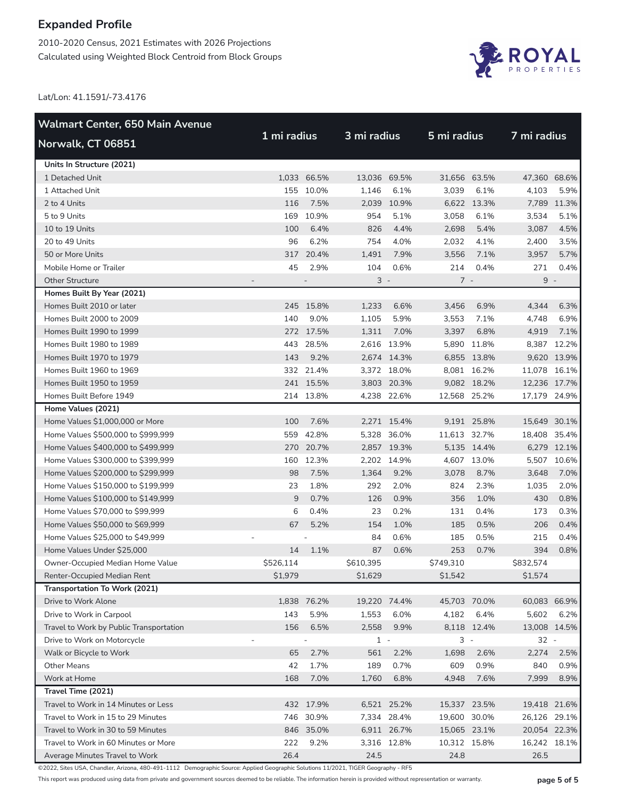2010-2020 Census, 2021 Estimates with 2026 Projections Calculated using Weighted Block Centroid from Block Groups



Lat/Lon: 41.1591/-73.4176

| <b>Walmart Center, 650 Main Avenue</b>  |             |             |              |             |              |              | 7 mi radius  |             |
|-----------------------------------------|-------------|-------------|--------------|-------------|--------------|--------------|--------------|-------------|
| Norwalk, CT 06851                       | 1 mi radius |             |              | 3 mi radius |              | 5 mi radius  |              |             |
| Units In Structure (2021)               |             |             |              |             |              |              |              |             |
| 1 Detached Unit                         |             | 1,033 66.5% | 13,036 69.5% |             | 31,656 63.5% |              | 47,360 68.6% |             |
| 1 Attached Unit                         |             | 155 10.0%   | 1,146        | 6.1%        | 3,039        | 6.1%         | 4,103        | 5.9%        |
| 2 to 4 Units                            | 116         | 7.5%        | 2,039        | 10.9%       |              | 6,622 13.3%  |              | 7,789 11.3% |
| 5 to 9 Units                            |             | 169 10.9%   | 954          | 5.1%        | 3,058        | 6.1%         | 3,534        | 5.1%        |
| 10 to 19 Units                          | 100         | 6.4%        | 826          | 4.4%        | 2,698        | 5.4%         | 3,087        | 4.5%        |
| 20 to 49 Units                          | 96          | 6.2%        | 754          | 4.0%        | 2,032        | 4.1%         | 2,400        | 3.5%        |
| 50 or More Units                        |             | 317 20.4%   | 1,491        | 7.9%        | 3,556        | 7.1%         | 3,957        | 5.7%        |
| Mobile Home or Trailer                  | 45          | 2.9%        | 104          | 0.6%        | 214          | 0.4%         | 271          | 0.4%        |
| <b>Other Structure</b>                  |             |             | $3 -$        |             | $7 -$        |              | $9 -$        |             |
| Homes Built By Year (2021)              |             |             |              |             |              |              |              |             |
| Homes Built 2010 or later               |             | 245 15.8%   | 1,233        | 6.6%        | 3,456        | 6.9%         | 4,344        | 6.3%        |
| Homes Built 2000 to 2009                | 140         | 9.0%        | 1,105        | 5.9%        | 3,553        | 7.1%         | 4,748        | 6.9%        |
| Homes Built 1990 to 1999                |             | 272 17.5%   | 1,311        | 7.0%        | 3,397        | 6.8%         | 4,919        | 7.1%        |
| Homes Built 1980 to 1989                | 443         | 28.5%       |              | 2,616 13.9% |              | 5,890 11.8%  |              | 8,387 12.2% |
| Homes Built 1970 to 1979                | 143         | 9.2%        |              | 2,674 14.3% |              | 6,855 13.8%  |              | 9,620 13.9% |
| Homes Built 1960 to 1969                |             | 332 21.4%   |              | 3,372 18.0% |              | 8,081 16.2%  | 11,078 16.1% |             |
| Homes Built 1950 to 1959                |             | 241 15.5%   |              | 3,803 20.3% |              | 9,082 18.2%  | 12,236 17.7% |             |
| Homes Built Before 1949                 |             | 214 13.8%   |              | 4,238 22.6% | 12,568 25.2% |              | 17,179 24.9% |             |
| Home Values (2021)                      |             |             |              |             |              |              |              |             |
| Home Values \$1,000,000 or More         | 100         | 7.6%        |              | 2,271 15.4% |              | 9,191 25.8%  | 15,649 30.1% |             |
| Home Values \$500,000 to \$999,999      | 559         | 42.8%       |              | 5,328 36.0% | 11,613 32.7% |              | 18,408 35.4% |             |
| Home Values \$400,000 to \$499,999      |             | 270 20.7%   |              | 2,857 19.3% |              | 5,135 14.4%  |              | 6,279 12.1% |
| Home Values \$300,000 to \$399,999      | 160         | 12.3%       |              | 2,202 14.9% |              | 4,607 13.0%  |              | 5,507 10.6% |
| Home Values \$200,000 to \$299,999      | 98          | 7.5%        | 1,364        | 9.2%        | 3,078        | 8.7%         | 3,648        | 7.0%        |
| Home Values \$150,000 to \$199,999      | 23          | 1.8%        | 292          | 2.0%        | 824          | 2.3%         | 1,035        | 2.0%        |
| Home Values \$100,000 to \$149,999      | 9           | 0.7%        | 126          | 0.9%        | 356          | 1.0%         | 430          | 0.8%        |
| Home Values \$70,000 to \$99,999        | 6           | 0.4%        | 23           | 0.2%        | 131          | 0.4%         | 173          | 0.3%        |
| Home Values \$50,000 to \$69,999        | 67          | 5.2%        | 154          | 1.0%        | 185          | 0.5%         | 206          | 0.4%        |
| Home Values \$25,000 to \$49,999        |             |             | 84           | 0.6%        | 185          | 0.5%         | 215          | 0.4%        |
| Home Values Under \$25,000              | 14          | 1.1%        | 87           | 0.6%        | 253          | 0.7%         | 394          | 0.8%        |
| Owner-Occupied Median Home Value        | \$526,114   |             | \$610,395    |             | \$749,310    |              | \$832,574    |             |
| Renter-Occupied Median Rent             | \$1,979     |             | \$1,629      |             | \$1,542      |              | \$1,574      |             |
| Transportation To Work (2021)           |             |             |              |             |              |              |              |             |
| Drive to Work Alone                     |             | 1,838 76.2% | 19,220 74.4% |             | 45,703 70.0% |              | 60,083 66.9% |             |
| Drive to Work in Carpool                | 143         | 5.9%        | 1,553        | 6.0%        | 4,182        | 6.4%         | 5,602        | 6.2%        |
| Travel to Work by Public Transportation | 156         | 6.5%        | 2,558        | 9.9%        |              | 8,118 12.4%  | 13,008 14.5% |             |
| Drive to Work on Motorcycle             |             |             | $1 -$        |             | $3 -$        |              | $32 -$       |             |
| Walk or Bicycle to Work                 | 65          | 2.7%        | 561          | 2.2%        | 1,698        | 2.6%         | 2,274        | 2.5%        |
| <b>Other Means</b>                      | 42          | 1.7%        | 189          | 0.7%        | 609          | 0.9%         | 840          | 0.9%        |
| Work at Home                            | 168         | 7.0%        | 1,760        | 6.8%        | 4,948        | 7.6%         | 7,999        | 8.9%        |
| Travel Time (2021)                      |             |             |              |             |              |              |              |             |
| Travel to Work in 14 Minutes or Less    |             | 432 17.9%   |              | 6,521 25.2% | 15,337 23.5% |              | 19,418 21.6% |             |
| Travel to Work in 15 to 29 Minutes      | 746         | 30.9%       |              | 7,334 28.4% | 19,600 30.0% |              | 26,126 29.1% |             |
| Travel to Work in 30 to 59 Minutes      |             | 846 35.0%   |              | 6,911 26.7% |              | 15,065 23.1% | 20,054 22.3% |             |
| Travel to Work in 60 Minutes or More    | 222         | 9.2%        |              | 3,316 12.8% | 10,312 15.8% |              | 16,242 18.1% |             |
| Average Minutes Travel to Work          | 26.4        |             | 24.5         |             | 24.8         |              | 26.5         |             |

©2022, Sites USA, Chandler, Arizona, 480-491-1112 Demographic Source: Applied Geographic Solutions 11/2021, TIGER Geography - RF5

This report was produced using data from private and government sources deemed to be reliable. The information herein is provided without representation or warranty. **page 5 of 5**